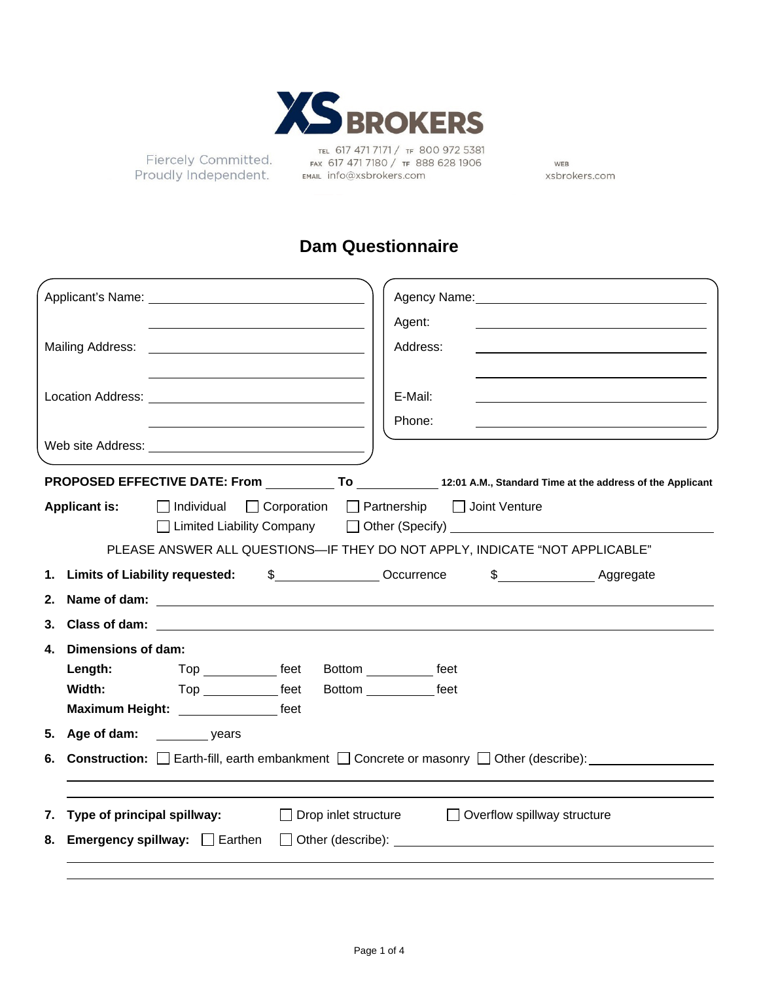

Fiercely Committed. Proudly Independent.

TEL 617 471 7171 / TF 800 972 5381<br>FAX 617 471 7180 / TF 888 628 1906 EMAIL info@xsbrokers.com

WEB xsbrokers.com

## **Dam Questionnaire**

|                                                                                                                                                                                                                                |                                                |                                                                                                                                                                | Agency Name: Mannell Agency Name: |
|--------------------------------------------------------------------------------------------------------------------------------------------------------------------------------------------------------------------------------|------------------------------------------------|----------------------------------------------------------------------------------------------------------------------------------------------------------------|-----------------------------------|
| Mailing Address: Mailing Address: No. 1996.                                                                                                                                                                                    |                                                | Agent:<br>Address:                                                                                                                                             |                                   |
|                                                                                                                                                                                                                                |                                                | E-Mail:<br>Phone:                                                                                                                                              |                                   |
| Web site Address: Universe and Separate and Separate and Separate and Separate and Separate and Separate and Separate and Separate and Separate and Separate and Separate and Separate and Separate and Separate and Separate  |                                                |                                                                                                                                                                |                                   |
|                                                                                                                                                                                                                                |                                                |                                                                                                                                                                |                                   |
| Applicant is:<br>Individual   Corporation   Partnership   Joint Venture                                                                                                                                                        |                                                | □ Limited Liability Company □ Other (Specify) _________________________________<br>PLEASE ANSWER ALL QUESTIONS-IF THEY DO NOT APPLY, INDICATE "NOT APPLICABLE" |                                   |
|                                                                                                                                                                                                                                |                                                |                                                                                                                                                                |                                   |
|                                                                                                                                                                                                                                |                                                |                                                                                                                                                                |                                   |
| 2. Name of dam: the contract of the contract of the contract of the contract of the contract of the contract of the contract of the contract of the contract of the contract of the contract of the contract of the contract o |                                                |                                                                                                                                                                |                                   |
|                                                                                                                                                                                                                                |                                                |                                                                                                                                                                |                                   |
| 4. Dimensions of dam:                                                                                                                                                                                                          |                                                |                                                                                                                                                                |                                   |
| Length:                                                                                                                                                                                                                        | Top _____________ feet Bottom ___________ feet |                                                                                                                                                                |                                   |
| Top _______________ feet<br>Width:                                                                                                                                                                                             |                                                | Bottom _____________ feet                                                                                                                                      |                                   |
|                                                                                                                                                                                                                                |                                                |                                                                                                                                                                |                                   |
|                                                                                                                                                                                                                                |                                                |                                                                                                                                                                |                                   |
| <b>6. Construction:</b> $\Box$ Earth-fill, earth embankment $\Box$ Concrete or masonry $\Box$ Other (describe):                                                                                                                |                                                |                                                                                                                                                                |                                   |
|                                                                                                                                                                                                                                |                                                |                                                                                                                                                                |                                   |
| Type of principal spillway:<br>7.                                                                                                                                                                                              | $\Box$ Drop inlet structure                    |                                                                                                                                                                | □ Overflow spillway structure     |
| <b>Emergency spillway:</b> $\Box$ Earthen<br>8.                                                                                                                                                                                | $\Box$                                         |                                                                                                                                                                |                                   |
|                                                                                                                                                                                                                                |                                                |                                                                                                                                                                |                                   |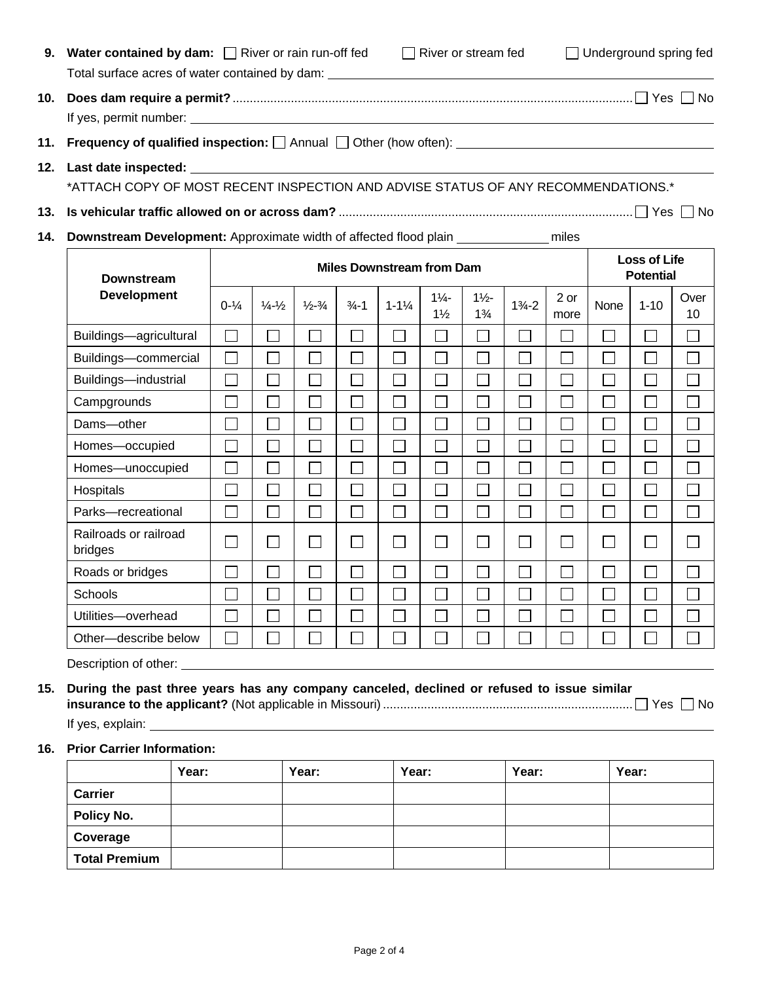| 9.  |                                                                                        | Water contained by dam: $\Box$ River or rain run-off fed<br>$\Box$ River or stream fed<br>$\Box$ Underground spring fed<br>Total surface acres of water contained by dam: _________________________________ |                             |                             |                          |                    |                                  |                                  |                                         |              |        |                             |            |
|-----|----------------------------------------------------------------------------------------|-------------------------------------------------------------------------------------------------------------------------------------------------------------------------------------------------------------|-----------------------------|-----------------------------|--------------------------|--------------------|----------------------------------|----------------------------------|-----------------------------------------|--------------|--------|-----------------------------|------------|
| 10. |                                                                                        |                                                                                                                                                                                                             |                             |                             |                          |                    |                                  |                                  |                                         |              |        |                             |            |
| 11. |                                                                                        |                                                                                                                                                                                                             |                             |                             |                          |                    |                                  |                                  |                                         |              |        |                             |            |
| 12. |                                                                                        |                                                                                                                                                                                                             |                             |                             |                          |                    |                                  |                                  |                                         |              |        |                             |            |
|     | *ATTACH COPY OF MOST RECENT INSPECTION AND ADVISE STATUS OF ANY RECOMMENDATIONS.*      |                                                                                                                                                                                                             |                             |                             |                          |                    |                                  |                                  |                                         |              |        |                             |            |
| 13. |                                                                                        |                                                                                                                                                                                                             |                             |                             |                          |                    |                                  |                                  |                                         |              |        |                             |            |
| 14. | Downstream Development: Approximate width of affected flood plain ______________ miles |                                                                                                                                                                                                             |                             |                             |                          |                    |                                  |                                  |                                         |              |        |                             |            |
|     | <b>Downstream</b>                                                                      | <b>Miles Downstream from Dam</b>                                                                                                                                                                            |                             |                             |                          |                    |                                  |                                  | <b>Loss of Life</b><br><b>Potential</b> |              |        |                             |            |
|     | <b>Development</b>                                                                     | $0 - \frac{1}{4}$                                                                                                                                                                                           | $\frac{1}{4} - \frac{1}{2}$ | $\frac{1}{2} - \frac{3}{4}$ | $\frac{3}{4} - 1$        | $1 - 1\frac{1}{4}$ | $1\frac{1}{4}$<br>$1\frac{1}{2}$ | $1\frac{1}{2}$<br>$1\frac{3}{4}$ | $1\frac{3}{4} - 2$                      | 2 or<br>more | None   | $1 - 10$                    | Over<br>10 |
|     | Buildings-agricultural                                                                 | $\Box$                                                                                                                                                                                                      | $\Box$                      | $\Box$                      | $\Box$                   | $\Box$             | $\Box$                           | $\Box$                           | $\Box$                                  |              |        | $\mathcal{L}_{\mathcal{A}}$ | $\sim$     |
|     | Buildings-commercial                                                                   | $\Box$                                                                                                                                                                                                      | $\Box$                      | $\Box$                      | $\Box$                   | $\Box$             | $\Box$                           |                                  | $\Box$                                  | П            |        | $\Box$                      | $\Box$     |
|     | Buildings-industrial                                                                   | $\Box$                                                                                                                                                                                                      | П                           | $\Box$                      | $\Box$                   | $\Box$             | $\Box$                           |                                  | $\Box$                                  | П            |        | $\Box$                      | $\Box$     |
|     | Campgrounds                                                                            | $\Box$                                                                                                                                                                                                      | $\Box$                      | $\Box$                      | $\Box$                   | $\Box$             | $\Box$                           |                                  | $\Box$                                  | П            |        |                             | $\Box$     |
|     | Dams-other                                                                             | $\Box$                                                                                                                                                                                                      | $\Box$                      | $\Box$                      | $\Box$                   | $\mathbf{L}$       | П                                |                                  | $\Box$                                  |              |        |                             |            |
|     | Homes-occupied                                                                         | $\Box$                                                                                                                                                                                                      | П                           | П                           | $\Box$                   | П                  | $\Box$                           | $\Box$                           | $\Box$                                  | П            | $\Box$ | $\Box$                      | $\Box$     |
|     | Homes-unoccupied                                                                       | $\Box$                                                                                                                                                                                                      | $\Box$                      | $\Box$                      | $\Box$                   | $\Box$             | $\Box$                           |                                  | П                                       | $\Box$       | J.     | $\Box$                      | $\Box$     |
|     | Hospitals                                                                              | $\Box$                                                                                                                                                                                                      | $\Box$                      | $\Box$                      | $\Box$                   | $\Box$             | $\Box$                           | П                                | $\overline{\phantom{0}}$                | П            | П      | $\Box$                      | $\Box$     |
|     | Parks-recreational                                                                     | $\Box$                                                                                                                                                                                                      | $\Box$                      | $\Box$                      | П                        | $\Box$             | $\Box$                           |                                  | $\Box$                                  | П            | $\Box$ | $\Box$                      | $\Box$     |
|     | Railroads or railroad<br>bridges                                                       | $\Box$                                                                                                                                                                                                      | П                           | $\Box$                      | $\Box$                   | П                  | $\Box$                           | $\Box$                           | $\Box$                                  | П            | $\Box$ | $\Box$                      | $\Box$     |
|     | Roads or bridges                                                                       | $\Box$                                                                                                                                                                                                      |                             | ٦                           | $\overline{\phantom{a}}$ |                    | $\Box$                           |                                  | $\Box$                                  |              |        | $\Box$                      |            |
|     | Schools                                                                                | $\Box$                                                                                                                                                                                                      |                             | $\Box$                      | $\sim$                   | $\mathsf{L}$       | $\Box$                           |                                  | $\Box$                                  |              |        |                             |            |
|     | Utilities-overhead                                                                     | $\Box$                                                                                                                                                                                                      | П                           |                             |                          |                    | $\Box$                           |                                  | $\Box$                                  | П            |        |                             | $\Box$     |
|     | Other-describe below                                                                   | $\Box$                                                                                                                                                                                                      |                             |                             |                          | $\sim$             | $\Box$                           |                                  |                                         |              |        |                             |            |

Description of other: **container** and the property of  $\theta$ 

## **15. During the past three years has any company canceled, declined or refused to issue similar insurance to the applicant?** (Not applicable in Missouri) ......................................................................... Yes No

If yes, explain:

## **16. Prior Carrier Information:**

|                      | Year: | Year: | Year: | Year: | Year: |
|----------------------|-------|-------|-------|-------|-------|
| <b>Carrier</b>       |       |       |       |       |       |
| <b>Policy No.</b>    |       |       |       |       |       |
| Coverage             |       |       |       |       |       |
| <b>Total Premium</b> |       |       |       |       |       |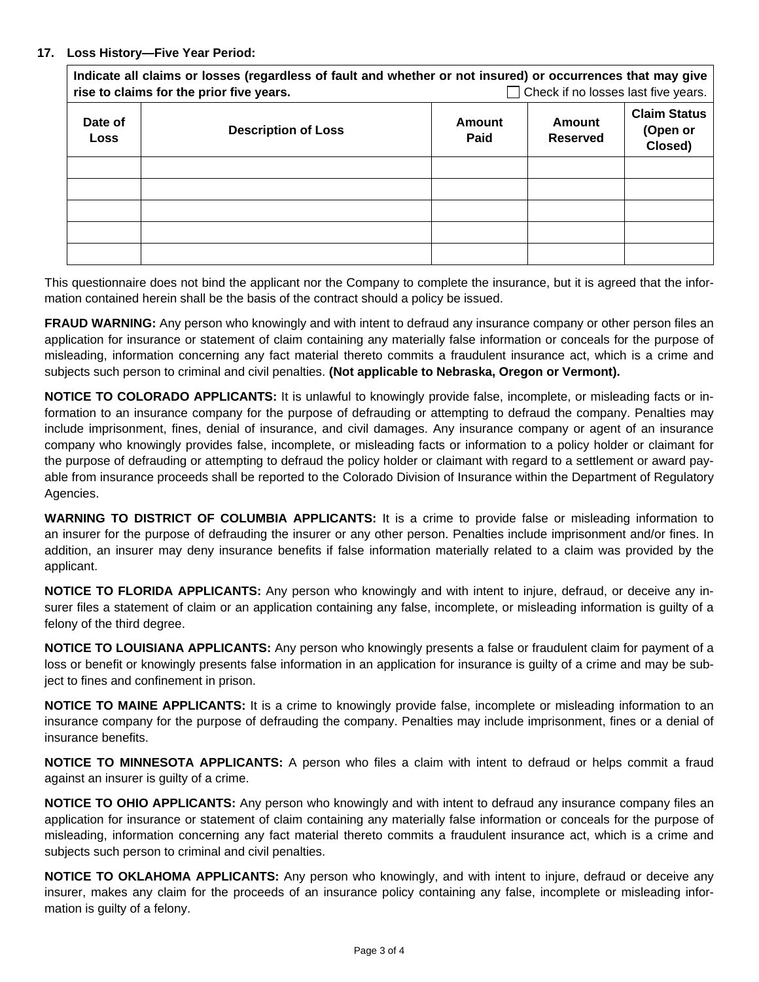## **17. Loss History—Five Year Period:**

| Indicate all claims or losses (regardless of fault and whether or not insured) or occurrences that may give<br>Check if no losses last five years.<br>rise to claims for the prior five years. |                            |                |                           |                                            |  |  |
|------------------------------------------------------------------------------------------------------------------------------------------------------------------------------------------------|----------------------------|----------------|---------------------------|--------------------------------------------|--|--|
| Date of<br><b>Loss</b>                                                                                                                                                                         | <b>Description of Loss</b> | Amount<br>Paid | Amount<br><b>Reserved</b> | <b>Claim Status</b><br>(Open or<br>Closed) |  |  |
|                                                                                                                                                                                                |                            |                |                           |                                            |  |  |
|                                                                                                                                                                                                |                            |                |                           |                                            |  |  |
|                                                                                                                                                                                                |                            |                |                           |                                            |  |  |
|                                                                                                                                                                                                |                            |                |                           |                                            |  |  |
|                                                                                                                                                                                                |                            |                |                           |                                            |  |  |

This questionnaire does not bind the applicant nor the Company to complete the insurance, but it is agreed that the information contained herein shall be the basis of the contract should a policy be issued.

**FRAUD WARNING:** Any person who knowingly and with intent to defraud any insurance company or other person files an application for insurance or statement of claim containing any materially false information or conceals for the purpose of misleading, information concerning any fact material thereto commits a fraudulent insurance act, which is a crime and subjects such person to criminal and civil penalties. **(Not applicable to Nebraska, Oregon or Vermont).** 

**NOTICE TO COLORADO APPLICANTS:** It is unlawful to knowingly provide false, incomplete, or misleading facts or information to an insurance company for the purpose of defrauding or attempting to defraud the company. Penalties may include imprisonment, fines, denial of insurance, and civil damages. Any insurance company or agent of an insurance company who knowingly provides false, incomplete, or misleading facts or information to a policy holder or claimant for the purpose of defrauding or attempting to defraud the policy holder or claimant with regard to a settlement or award payable from insurance proceeds shall be reported to the Colorado Division of Insurance within the Department of Regulatory Agencies.

**WARNING TO DISTRICT OF COLUMBIA APPLICANTS:** It is a crime to provide false or misleading information to an insurer for the purpose of defrauding the insurer or any other person. Penalties include imprisonment and/or fines. In addition, an insurer may deny insurance benefits if false information materially related to a claim was provided by the applicant.

**NOTICE TO FLORIDA APPLICANTS:** Any person who knowingly and with intent to injure, defraud, or deceive any insurer files a statement of claim or an application containing any false, incomplete, or misleading information is guilty of a felony of the third degree.

**NOTICE TO LOUISIANA APPLICANTS:** Any person who knowingly presents a false or fraudulent claim for payment of a loss or benefit or knowingly presents false information in an application for insurance is guilty of a crime and may be subject to fines and confinement in prison.

**NOTICE TO MAINE APPLICANTS:** It is a crime to knowingly provide false, incomplete or misleading information to an insurance company for the purpose of defrauding the company. Penalties may include imprisonment, fines or a denial of insurance benefits.

**NOTICE TO MINNESOTA APPLICANTS:** A person who files a claim with intent to defraud or helps commit a fraud against an insurer is guilty of a crime.

**NOTICE TO OHIO APPLICANTS:** Any person who knowingly and with intent to defraud any insurance company files an application for insurance or statement of claim containing any materially false information or conceals for the purpose of misleading, information concerning any fact material thereto commits a fraudulent insurance act, which is a crime and subjects such person to criminal and civil penalties.

**NOTICE TO OKLAHOMA APPLICANTS:** Any person who knowingly, and with intent to injure, defraud or deceive any insurer, makes any claim for the proceeds of an insurance policy containing any false, incomplete or misleading information is guilty of a felony.